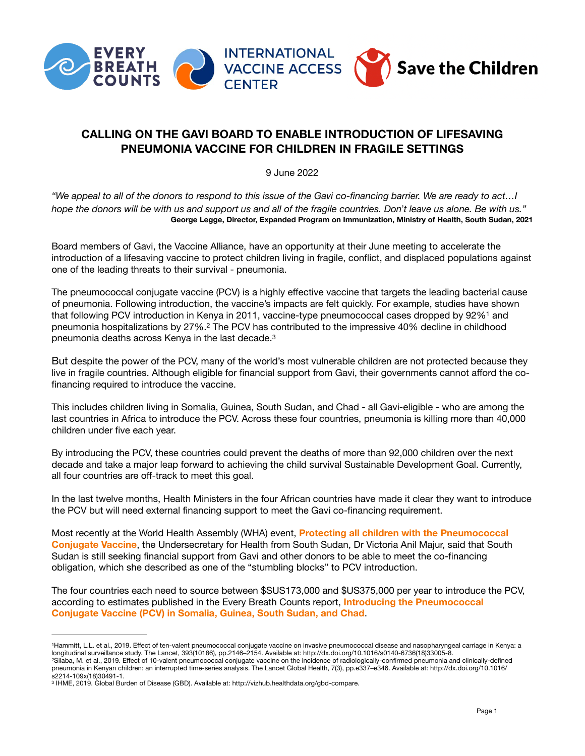

## **CALLING ON THE GAVI BOARD TO ENABLE INTRODUCTION OF LIFESAVING PNEUMONIA VACCINE FOR CHILDREN IN FRAGILE SETTINGS**

<span id="page-0-5"></span><span id="page-0-3"></span>9 June 2022

*"We appeal to all of the donors to respond to this issue of the Gavi co-financing barrier. We are ready to act…I*  hope the donors will be with us and support us and all of the fragile countries. Don't leave us alone. Be with us." **George Legge, Director, Expanded Program on Immunization, Ministry of Health, South Sudan, 2021**

Board members of Gavi, the Vaccine Alliance, have an opportunity at their June meeting to accelerate the introduction of a lifesaving vaccine to protect children living in fragile, conflict, and displaced populations against one of the leading threats to their survival - pneumonia.

<span id="page-0-4"></span>The pneumococcal conjugate vaccine (PCV) is a highly effective vaccine that targets the leading bacterial cause of pneumonia. Following introduction, the vaccine's impacts are felt quickly. For example, studies have shown thatfollowing PCV introduction in Kenya in 20[1](#page-0-0)1, vaccine-type pneumococcal cases dropped by 92%<sup>1</sup> and pneumonia hospitalizations by [2](#page-0-1)7%.<sup>2</sup> The PCV has contributed to the impressive 40% decline in childhood pneumonia deaths across Kenya in the last decade[.3](#page-0-2)

But despite the power of the PCV, many of the world's most vulnerable children are not protected because they live in fragile countries. Although eligible for financial support from Gavi, their governments cannot afford the cofinancing required to introduce the vaccine.

This includes children living in Somalia, Guinea, South Sudan, and Chad - all Gavi-eligible - who are among the last countries in Africa to introduce the PCV. Across these four countries, pneumonia is killing more than 40,000 children under five each year.

By introducing the PCV, these countries could prevent the deaths of more than 92,000 children over the next decade and take a major leap forward to achieving the child survival Sustainable Development Goal. Currently, all four countries are off-track to meet this goal.

In the last twelve months, Health Ministers in the four African countries have made it clear they want to introduce the PCV but will need external financing support to meet the Gavi co-financing requirement.

Most recently at the World Health Assembly (WHA) event, **[Protecting all children with the Pneumococcal](https://www.youtube.com/watch?v=GzwB8XnIJxk)  [Conjugate Vaccine](https://www.youtube.com/watch?v=GzwB8XnIJxk)**, the Undersecretary for Health from South Sudan, Dr Victoria Anil Majur, said that South Sudan is still seeking financial support from Gavi and other donors to be able to meet the co-financing obligation, which she described as one of the "stumbling blocks" to PCV introduction.

The four countries each need to source between \$SUS173,000 and \$US375,000 per year to introduce the PCV, according to estimates published in the Every Breath Counts report, **[Introducing the Pneumococcal](https://stoppneumonia.org/wp-content/uploads/2022/02/EveryBreathCountsIntroducingPCVReport.pdf)  [Conjugate Vaccine \(PCV\) in Somalia, Guinea, South Sudan, and Chad](https://stoppneumonia.org/wp-content/uploads/2022/02/EveryBreathCountsIntroducingPCVReport.pdf)**.

<span id="page-0-1"></span><span id="page-0-0"></span>Hammitt, L.L. et al., 2019. Effect of ten-valent pneumococcal conjugate vaccine on invasive pneumococcal disease and nasopharyngeal carriage in Kenya: a [1](#page-0-3) longitudinal surveillance study. The Lancet, 393(10186), pp.2146–2154. Available at: http://dx.doi.org/10.1016/s0140-6736(18)33005-8. Silaba, M. et al., 2019. Effect of 10-valent pneumococcal conjugate vaccine on the incidence of radiologically-confirmed pneumonia and clinically-defined [2](#page-0-4) pneumonia in Kenyan children: an interrupted time-series analysis. The Lancet Global Health, 7(3), pp.e337–e346. Available at: http://dx.doi.org/10.1016/ s2214-109x(18)30491-1.

<span id="page-0-2"></span><sup>&</sup>lt;sup>[3](#page-0-5)</sup> IHME, 2019. Global Burden of Disease (GBD). Available at: http://vizhub.healthdata.org/gbd-compare.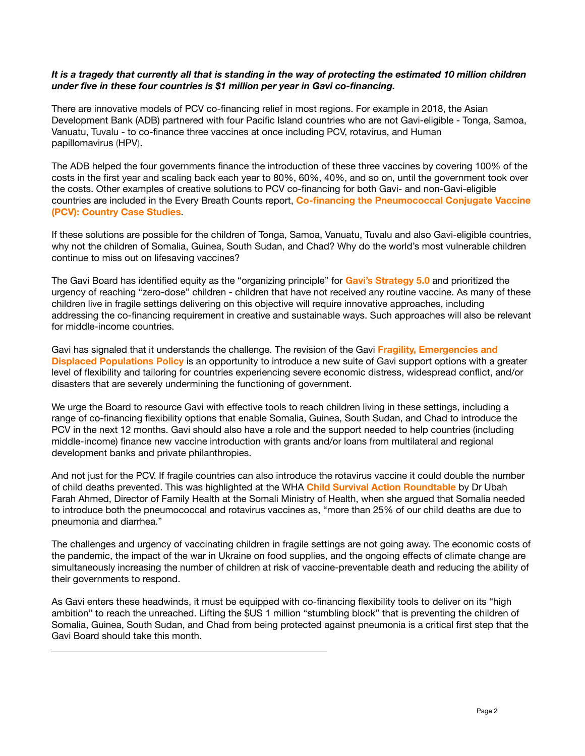## *It is a tragedy that currently all that is standing in the way of protecting the estimated 10 million children under five in these four countries is \$1 million per year in Gavi co-financing.*

There are innovative models of PCV co-financing relief in most regions. For example in 2018, the Asian Development Bank (ADB) partnered with four Pacific Island countries who are not Gavi-eligible - Tonga, Samoa, Vanuatu, Tuvalu - to co-finance three vaccines at once including PCV, rotavirus, and Human papillomavirus (HPV).

The ADB helped the four governments finance the introduction of these three vaccines by covering 100% of the costs in the first year and scaling back each year to 80%, 60%, 40%, and so on, until the government took over the costs. Other examples of creative solutions to PCV co-financing for both Gavi- and non-Gavi-eligible countries are included in the Every Breath Counts report, **[Co-financing the Pneumococcal Conjugate Vaccine](https://stoppneumonia.org/wp-content/uploads/2022/05/Every-Breath-Counts-PCV-Co-financing-Case-Studies.pdf)  [\(PCV\): Country Case Studies](https://stoppneumonia.org/wp-content/uploads/2022/05/Every-Breath-Counts-PCV-Co-financing-Case-Studies.pdf)**.

If these solutions are possible for the children of Tonga, Samoa, Vanuatu, Tuvalu and also Gavi-eligible countries, why not the children of Somalia, Guinea, South Sudan, and Chad? Why do the world's most vulnerable children continue to miss out on lifesaving vaccines?

The Gavi Board has identified equity as the "organizing principle" for **[Gavi's Strategy 5.0](https://www.gavi.org/our-alliance/strategy/phase-5-2021-2025%23:~:text=Phase%2520V%2520(2021%25E2%2580%25932025),and%2520sustainable%2520use%2520of%2520vaccines.)** and prioritized the urgency of reaching "zero-dose" children - children that have not received any routine vaccine. As many of these children live in fragile settings delivering on this objective will require innovative approaches, including addressing the co-financing requirement in creative and sustainable ways. Such approaches will also be relevant for middle-income countries.

Gavi has signaled that it understands the challenge. The revision of the Gavi **[Fragility, Emergencies and](https://www.gavi.org/programmes-impact/programmatic-policies/fragility-emergencies-and-refugees-policy)  [Displaced Populations Policy](https://www.gavi.org/programmes-impact/programmatic-policies/fragility-emergencies-and-refugees-policy)** is an opportunity to introduce a new suite of Gavi support options with a greater level of flexibility and tailoring for countries experiencing severe economic distress, widespread conflict, and/or disasters that are severely undermining the functioning of government.

We urge the Board to resource Gavi with effective tools to reach children living in these settings, including a range of co-financing flexibility options that enable Somalia, Guinea, South Sudan, and Chad to introduce the PCV in the next 12 months. Gavi should also have a role and the support needed to help countries (including middle-income) finance new vaccine introduction with grants and/or loans from multilateral and regional development banks and private philanthropies.

And not just for the PCV. If fragile countries can also introduce the rotavirus vaccine it could double the number of child deaths prevented. This was highlighted at the WHA **[Child Survival Action Roundtable](https://www.youtube.com/watch?v=A-lRGtxV71c&t=1s)** by Dr Ubah Farah Ahmed, Director of Family Health at the Somali Ministry of Health, when she argued that Somalia needed to introduce both the pneumococcal and rotavirus vaccines as, "more than 25% of our child deaths are due to pneumonia and diarrhea."

The challenges and urgency of vaccinating children in fragile settings are not going away. The economic costs of the pandemic, the impact of the war in Ukraine on food supplies, and the ongoing effects of climate change are simultaneously increasing the number of children at risk of vaccine-preventable death and reducing the ability of their governments to respond.

As Gavi enters these headwinds, it must be equipped with co-financing flexibility tools to deliver on its "high ambition" to reach the unreached. Lifting the \$US 1 million "stumbling block" that is preventing the children of Somalia, Guinea, South Sudan, and Chad from being protected against pneumonia is a critical first step that the Gavi Board should take this month.

<u> 1989 - Johann Stoff, deutscher Stoff, der Stoff, der Stoff, der Stoff, der Stoff, der Stoff, der Stoff, der S</u>